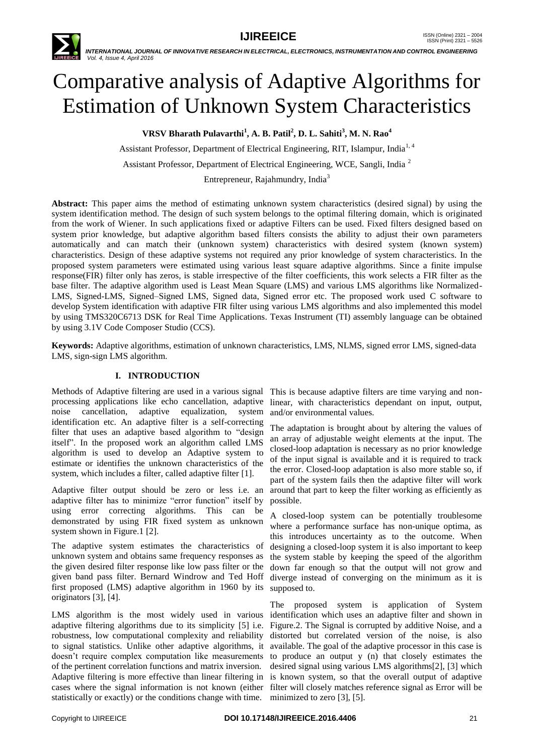

# Comparative analysis of Adaptive Algorithms for Estimation of Unknown System Characteristics

**VRSV Bharath Pulavarthi<sup>1</sup> , A. B. Patil<sup>2</sup> , D. L. Sahiti<sup>3</sup> , M. N. Rao<sup>4</sup>**

Assistant Professor, Department of Electrical Engineering, RIT, Islampur, India<sup>1, 4</sup>

Assistant Professor, Department of Electrical Engineering, WCE, Sangli, India<sup>2</sup>

Entrepreneur, Rajahmundry, India<sup>3</sup>

**Abstract:** This paper aims the method of estimating unknown system characteristics (desired signal) by using the system identification method. The design of such system belongs to the optimal filtering domain, which is originated from the work of Wiener. In such applications fixed or adaptive Filters can be used. Fixed filters designed based on system prior knowledge, but adaptive algorithm based filters consists the ability to adjust their own parameters automatically and can match their (unknown system) characteristics with desired system (known system) characteristics. Design of these adaptive systems not required any prior knowledge of system characteristics. In the proposed system parameters were estimated using various least square adaptive algorithms. Since a finite impulse response(FIR) filter only has zeros, is stable irrespective of the filter coefficients, this work selects a FIR filter as the base filter. The adaptive algorithm used is Least Mean Square (LMS) and various LMS algorithms like Normalized-LMS, Signed-LMS, Signed–Signed LMS, Signed data, Signed error etc. The proposed work used C software to develop System identification with adaptive FIR filter using various LMS algorithms and also implemented this model by using TMS320C6713 DSK for Real Time Applications. Texas Instrument (TI) assembly language can be obtained by using 3.1V Code Composer Studio (CCS).

**Keywords:** Adaptive algorithms, estimation of unknown characteristics, LMS, NLMS, signed error LMS, signed-data LMS, sign-sign LMS algorithm.

# **I. INTRODUCTION**

Methods of Adaptive filtering are used in a various signal processing applications like echo cancellation, adaptive noise cancellation, adaptive equalization, system identification etc. An adaptive filter is a self-correcting filter that uses an adaptive based algorithm to "design itself". In the proposed work an algorithm called LMS algorithm is used to develop an Adaptive system to estimate or identifies the unknown characteristics of the system, which includes a filter, called adaptive filter [1].

Adaptive filter output should be zero or less i.e. an adaptive filter has to minimize "error function" itself by using error correcting algorithms. This can be demonstrated by using FIR fixed system as unknown system shown in Figure.1 [2].

The adaptive system estimates the characteristics of unknown system and obtains same frequency responses as the given desired filter response like low pass filter or the given band pass filter. Bernard Windrow and Ted Hoff first proposed (LMS) adaptive algorithm in 1960 by its supposed to. originators [3], [4].

LMS algorithm is the most widely used in various adaptive filtering algorithms due to its simplicity [5] i.e. Figure.2. The Signal is corrupted by additive Noise, and a robustness, low computational complexity and reliability to signal statistics. Unlike other adaptive algorithms, it available. The goal of the adaptive processor in this case is doesn't require complex computation like measurements to produce an output y (n) that closely estimates the of the pertinent correlation functions and matrix inversion. Adaptive filtering is more effective than linear filtering in is known system, so that the overall output of adaptive cases where the signal information is not known (either filter will closely matches reference signal as Error will be statistically or exactly) or the conditions change with time. minimized to zero [3], [5].

This is because adaptive filters are time varying and nonlinear, with characteristics dependant on input, output, and/or environmental values.

The adaptation is brought about by altering the values of an array of adjustable weight elements at the input. The closed-loop adaptation is necessary as no prior knowledge of the input signal is available and it is required to track the error. Closed-loop adaptation is also more stable so, if part of the system fails then the adaptive filter will work around that part to keep the filter working as efficiently as possible.

A closed-loop system can be potentially troublesome where a performance surface has non-unique optima, as this introduces uncertainty as to the outcome. When designing a closed-loop system it is also important to keep the system stable by keeping the speed of the algorithm down far enough so that the output will not grow and diverge instead of converging on the minimum as it is

The proposed system is application of System identification which uses an adaptive filter and shown in distorted but correlated version of the noise, is also desired signal using various LMS algorithms[2], [3] which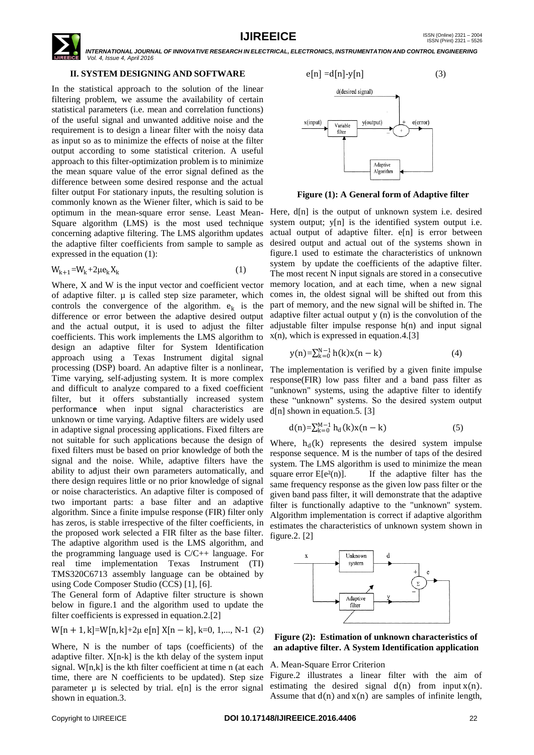# **II. SYSTEM DESIGNING AND SOFTWARE**

In the statistical approach to the solution of the linear filtering problem, we assume the availability of certain statistical parameters (i.e. mean and correlation functions) of the useful signal and unwanted additive noise and the requirement is to design a linear filter with the noisy data as input so as to minimize the effects of noise at the filter output according to some statistical criterion. A useful approach to this filter-optimization problem is to minimize the mean square value of the error signal defined as the difference between some desired response and the actual filter output For stationary inputs, the resulting solution is commonly known as the Wiener filter, which is said to be optimum in the mean-square error sense. Least Mean-Here, d[n] is the output of unknown system i.e. desired Square algorithm (LMS) is the most used technique concerning adaptive filtering. The LMS algorithm updates the adaptive filter coefficients from sample to sample as expressed in the equation (1):

$$
W_{k+1} = W_k + 2\mu e_k X_k \tag{1}
$$

Where, X and W is the input vector and coefficient vector of adaptive filter.  $\mu$  is called step size parameter, which controls the convergence of the algorithm.  $e_k$  is the difference or error between the adaptive desired output and the actual output, it is used to adjust the filter coefficients. This work implements the LMS algorithm to design an adaptive filter for System Identification approach using a Texas Instrument digital signal processing (DSP) board. An adaptive filter is a nonlinear, Time varying, self-adjusting system. It is more complex and difficult to analyze compared to a fixed coefficient filter, but it offers substantially increased system performanc**e** when input signal characteristics are unknown or time varying. Adaptive filters are widely used in adaptive signal processing applications. Fixed filters are not suitable for such applications because the design of fixed filters must be based on prior knowledge of both the signal and the noise. While, adaptive filters have the ability to adjust their own parameters automatically, and there design requires little or no prior knowledge of signal or noise characteristics. An adaptive filter is composed of two important parts: a base filter and an adaptive algorithm. Since a finite impulse response (FIR) filter only has zeros, is stable irrespective of the filter coefficients, in the proposed work selected a FIR filter as the base filter. The adaptive algorithm used is the LMS algorithm, and the programming language used is C/C++ language. For real time implementation Texas Instrument (TI) TMS320C6713 assembly language can be obtained by using Code Composer Studio (CCS) [1], [6].

The General form of Adaptive filter structure is shown below in figure.1 and the algorithm used to update the filter coefficients is expressed in equation.2.[2]

$$
W[n + 1, k] = W[n, k] + 2\mu e[n] X[n - k], k = 0, 1, \ldots, N-1
$$
 (2)

Where, N is the number of taps (coefficients) of the adaptive filter. X[n-k] is the kth delay of the system input signal. W[n,k] is the kth filter coefficient at time n (at each time, there are N coefficients to be updated). Step size parameter  $\mu$  is selected by trial. e[n] is the error signal shown in equation.3.



**Figure (1): A General form of Adaptive filter**

system output; y[n] is the identified system output i.e. actual output of adaptive filter. e[n] is error between desired output and actual out of the systems shown in figure.1 used to estimate the characteristics of unknown system by update the coefficients of the adaptive filter. The most recent N input signals are stored in a consecutive memory location, and at each time, when a new signal comes in, the oldest signal will be shifted out from this part of memory, and the new signal will be shifted in. The adaptive filter actual output y (n) is the convolution of the adjustable filter impulse response h(n) and input signal x(n), which is expressed in equation.4.[3]

$$
y(n) = \sum_{k=0}^{N-1} h(k)x(n-k)
$$
 (4)

The implementation is verified by a given finite impulse response(FIR) low pass filter and a band pass filter as "unknown" systems, using the adaptive filter to identify these "unknown" systems. So the desired system output d[n] shown in equation.5. [3]

$$
d(n) = \sum_{k=0}^{M-1} h_d(k)x(n-k)
$$
 (5)

Where,  $h_d(k)$  represents the desired system impulse response sequence. M is the number of taps of the desired system. The LMS algorithm is used to minimize the mean square error  $E[e^{2}(n)]$ . If the adaptive filter has the same frequency response as the given low pass filter or the given band pass filter, it will demonstrate that the adaptive filter is functionally adaptive to the "unknown" system. Algorithm implementation is correct if adaptive algorithm estimates the characteristics of unknown system shown in figure.2. [2]



**Figure (2): Estimation of unknown characteristics of an adaptive filter. A System Identification application**

#### A. Mean-Square Error Criterion

Figure.2 illustrates a linear filter with the aim of estimating the desired signal  $d(n)$  from input  $x(n)$ . Assume that  $d(n)$  and  $x(n)$  are samples of infinite length,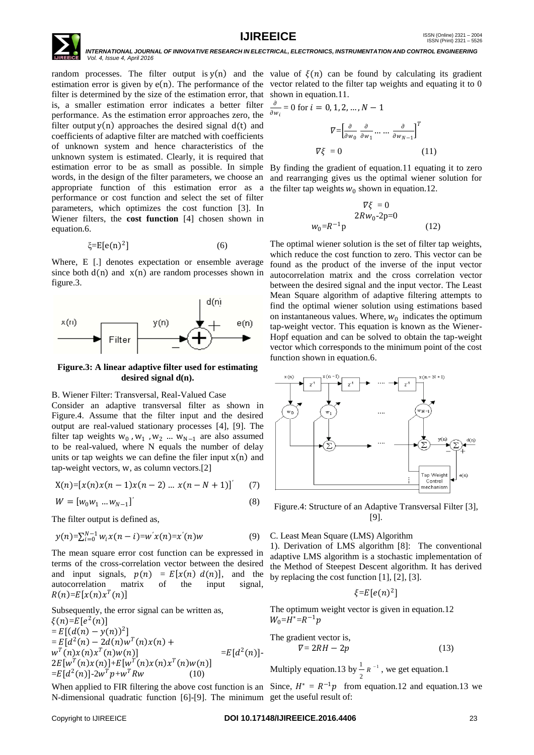

 $\partial$ 

random processes. The filter output is  $y(n)$  and the value of  $\xi(n)$  can be found by calculating its gradient estimation error is given by  $e(n)$ . The performance of the vector related to the filter tap weights and equating it to 0 filter is determined by the size of the estimation error, that shown in equation.11. is, a smaller estimation error indicates a better filter performance. As the estimation error approaches zero, the filter output  $v(n)$  approaches the desired signal  $d(t)$  and coefficients of adaptive filter are matched with coefficients of unknown system and hence characteristics of the unknown system is estimated. Clearly, it is required that estimation error to be as small as possible. In simple words, in the design of the filter parameters, we choose an appropriate function of this estimation error as a performance or cost function and select the set of filter parameters, which optimizes the cost function [3]. In Wiener filters, the **cost function** [4] chosen shown in equation.6.

$$
\xi = E[e(n)^2]
$$
 (6)

Where, E [.] denotes expectation or ensemble average since both  $d(n)$  and  $x(n)$  are random processes shown in figure.3.



### **Figure.3: A linear adaptive filter used for estimating desired signal d(n).**

B. Wiener Filter: Transversal, Real-Valued Case

Consider an adaptive transversal filter as shown in Figure.4. Assume that the filter input and the desired output are real-valued stationary processes [4], [9]. The filter tap weights  $w_0$ ,  $w_1$ ,  $w_2$  ...  $w_{N-1}$  are also assumed to be real-valued, where N equals the number of delay units or tap weights we can define the filer input  $x(n)$  and tap-weight vectors, w, as column vectors.[2]

$$
X(n) = [x(n)x(n-1)x(n-2) ... x(n-N+1)]'
$$
 (7)

$$
W = [w_0 w_1 ... w_{N-1}]'
$$
 (8)

The filter output is defined as,

$$
y(n) = \sum_{i=0}^{N-1} w_i x(n-i) = w'x(n) = x'(n)w
$$
 (9)

The mean square error cost function can be expressed in terms of the cross-correlation vector between the desired and input signals,  $p(n) = E[x(n) d(n)]$ , and the autocorrelation matrix of the input signal,  $R(n)=E[x(n)x^{T}(n)]$ 

Subsequently, the error signal can be written as,  $\xi(n)=E[e^{2}(n)]$  $= E[(d(n) - y(n))^2]$  $= E[d^2(n) - 2d(n)w^T(n)x(n) +$  $w^T(n)x(n)x^T(n)w(n)$  = E[d  $^{2}(n)$ ]- $2E[w^{T}(n)x(n)]+E[w^{T}(n)x(n)x^{T}(n)w(n)]$  $=E[d^2(n)]-2w^Tp+w^T R w$  (10)

When applied to FIR filtering the above cost function is an Since,  $H^* = R^{-1}p$  from equation.12 and equation.13 we N-dimensional quadratic function [6]-[9]. The minimum get the useful result of:

$$
\frac{\partial}{\partial w_i} = 0 \text{ for } i = 0, 1, 2, ..., N - 1
$$

$$
\nabla = \left[ \frac{\partial}{\partial w_0} \frac{\partial}{\partial w_1} \dots \dots \frac{\partial}{\partial w_{N-1}} \right]^T
$$

$$
\nabla \xi = 0 \tag{11}
$$

By finding the gradient of equation.11 equating it to zero and rearranging gives us the optimal wiener solution for the filter tap weights  $w_0$  shown in equation.12.

$$
\nabla \xi = 0
$$
  
\n
$$
2Rw_0-2p=0
$$
  
\n
$$
w_0 = R^{-1}p
$$
 (12)

The optimal wiener solution is the set of filter tap weights, which reduce the cost function to zero. This vector can be found as the product of the inverse of the input vector autocorrelation matrix and the cross correlation vector between the desired signal and the input vector. The Least Mean Square algorithm of adaptive filtering attempts to find the optimal wiener solution using estimations based on instantaneous values. Where,  $w_0$  indicates the optimum tap-weight vector. This equation is known as the Wiener-Hopf equation and can be solved to obtain the tap-weight vector which corresponds to the minimum point of the cost function shown in equation.6.



Figure.4: Structure of an Adaptive Transversal Filter [3], [9].

#### C. Least Mean Square (LMS) Algorithm

1). Derivation of LMS algorithm [8]: The conventional adaptive LMS algorithm is a stochastic implementation of the Method of Steepest Descent algorithm. It has derived by replacing the cost function [1], [2], [3].

$$
\xi = E[e(n)^2]
$$

The optimum weight vector is given in equation.12 W $_0$ =H $^*$ =R $^{-1}$ p

The gradient vector is,  
\n
$$
\nabla = 2RH - 2p
$$
\n(13)

Multiply equation. 13 by  $\frac{1}{x}R^{-1}$ 2  $\frac{1}{x}$   $R^{-1}$ , we get equation.1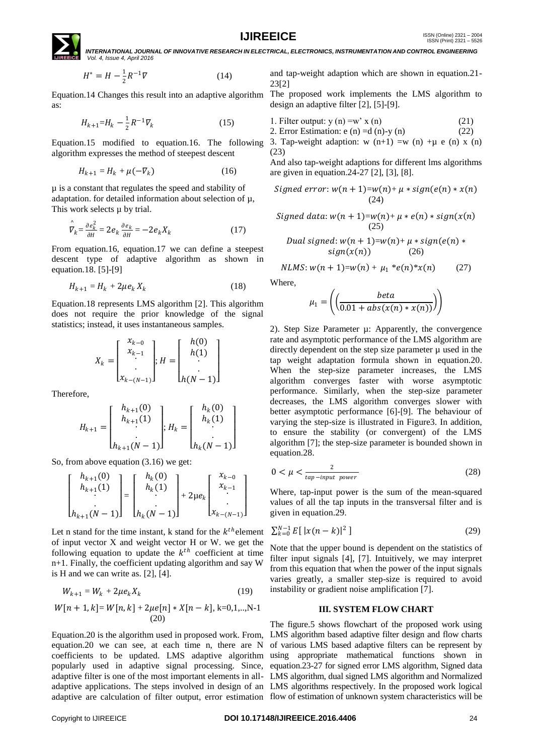**IJIREEICE ISSN** (Online)  $2321 - 2004$ <br>ISSN (Print)  $2321 - 5526$ 



 $\overline{I}$ 

 *INTERNATIONAL JOURNAL OF INNOVATIVE RESEARCH IN ELECTRICAL, ELECTRONICS, INSTRUMENTATION AND CONTROL ENGINEERING Vol. 4, Issue 4, April 2016*

$$
I^* = H - \frac{1}{2} R^{-1} \nabla
$$
 (14)

as:

$$
H_{k+1} = H_k - \frac{1}{2} R^{-1} \nabla_k \tag{15}
$$

Equation.15 modified to equation.16. The following algorithm expresses the method of steepest descent

$$
H_{k+1} = H_k + \mu(-\nabla_k) \tag{16}
$$

µ is a constant that regulates the speed and stability of adaptation. for detailed information about selection of µ, This work selects  $\mu$  by trial.

$$
\hat{\overline{V}}_k = \frac{\partial e_k^2}{\partial H} = 2e_k \frac{\partial e_k}{\partial H} = -2e_k X_k \tag{17}
$$

From equation.16, equation.17 we can define a steepest descent type of adaptive algorithm as shown in equation.18. [5]-[9]

$$
H_{k+1} = H_k + 2\mu e_k X_k \tag{18}
$$

Equation.18 represents LMS algorithm [2]. This algorithm does not require the prior knowledge of the signal statistics; instead, it uses instantaneous samples.

$$
X_{k} = \begin{bmatrix} x_{k-0} \\ x_{k-1} \\ \vdots \\ x_{k-(N-1)} \end{bmatrix}; H = \begin{bmatrix} h(0) \\ h(1) \\ \vdots \\ h(N-1) \end{bmatrix}
$$

Therefore,

$$
H_{k+1} = \begin{bmatrix} h_{k+1}(0) \\ h_{k+1}(1) \\ \vdots \\ h_{k+1}(N-1) \end{bmatrix}; H_k = \begin{bmatrix} h_k(0) \\ h_k(1) \\ \vdots \\ h_k(N-1) \end{bmatrix}
$$

So, from above equation (3.16) we get:

$$
\begin{bmatrix} h_{k+1}(0) \\ h_{k+1}(1) \\ h_{k+1}(N-1) \end{bmatrix} = \begin{bmatrix} h_k(0) \\ h_k(1) \\ \vdots \\ h_k(N-1) \end{bmatrix} + 2\mu e_k \begin{bmatrix} x_{k-0} \\ x_{k-1} \\ \vdots \\ x_{k-(N-1)} \end{bmatrix}
$$

Let n stand for the time instant, k stand for the  $k^{th}$  element of input vector X and weight vector H or W. we get the following equation to update the  $k^{th}$  coefficient at time n+1. Finally, the coefficient updating algorithm and say W is H and we can write as. [2], [4].

$$
W_{k+1} = W_k + 2\mu e_k X_k \tag{19}
$$

$$
W[n+1,k] = W[n,k] + 2\mu e[n] * X[n-k], k=0,1,..,N-1
$$
  
(20)

Equation.20 is the algorithm used in proposed work. From, equation.20 we can see, at each time n, there are N

and tap-weight adaption which are shown in equation.21- 23[2]

Equation.14 Changes this result into an adaptive algorithm The proposed work implements the LMS algorithm to design an adaptive filter [2], [5]-[9].

1. Filter output: 
$$
y(n) = w' x(n)
$$
 (21)

2. Error Estimation: 
$$
e(n) = d(n)-y(n)
$$
 (22)

3. Tap-weight adaption: w  $(n+1) = w$  (n) + $\mu$  e (n) x (n) (23)

And also tap-weight adaptions for different lms algorithms are given in equation.24-27 [2], [3], [8].

$$
Signed error: w(n + 1)=w(n) + \mu * sign(e(n) * x(n)
$$
  
(24)

$$
Signed data: w(n + 1)=w(n) + \mu * e(n) * sign(x(n)
$$
\n
$$
(25)
$$

Dual signed:  $w(n + 1) = w(n) + \mu * sign(e(n))$  $sign(x(n))$  (26)

 $NLMS: w(n + 1)=w(n) + \mu_1 *e(n)*x(n)$  (27)

Where,

$$
\mu_1 = \left( \left( \frac{beta(x)}{0.01 + abs(x(n) * x(n))} \right) \right)
$$

2). Step Size Parameter µ: Apparently, the convergence rate and asymptotic performance of the LMS algorithm are directly dependent on the step size parameter  $\mu$  used in the tap weight adaptation formula shown in equation.20. When the step-size parameter increases, the LMS algorithm converges faster with worse asymptotic performance. Similarly, when the step-size parameter decreases, the LMS algorithm converges slower with better asymptotic performance [6]-[9]. The behaviour of varying the step-size is illustrated in Figure3. In addition, to ensure the stability (or convergent) of the LMS algorithm [7]; the step-size parameter is bounded shown in equation.28.

$$
0 < \mu < \frac{2}{\tan - \text{input power}} \tag{28}
$$

Where, tap-input power is the sum of the mean-squared values of all the tap inputs in the transversal filter and is given in equation.29.

$$
\sum_{k=0}^{N-1} E[ |x(n-k)|^2 ] \tag{29}
$$

Note that the upper bound is dependent on the statistics of filter input signals [4], [7]. Intuitively, we may interpret from this equation that when the power of the input signals varies greatly, a smaller step-size is required to avoid instability or gradient noise amplification [7].

#### **III. SYSTEM FLOW CHART**

coefficients to be updated. LMS adaptive algorithm using appropriate mathematical functions shown in popularly used in adaptive signal processing. Since, equation.23-27 for signed error LMS algorithm, Signed data adaptive filter is one of the most important elements in all-LMS algorithm, dual signed LMS algorithm and Normalized adaptive applications. The steps involved in design of an LMS algorithms respectively. In the proposed work logical adaptive are calculation of filter output, error estimation flow of estimation of unknown system characteristics will be The figure.5 shows flowchart of the proposed work using LMS algorithm based adaptive filter design and flow charts of various LMS based adaptive filters can be represent by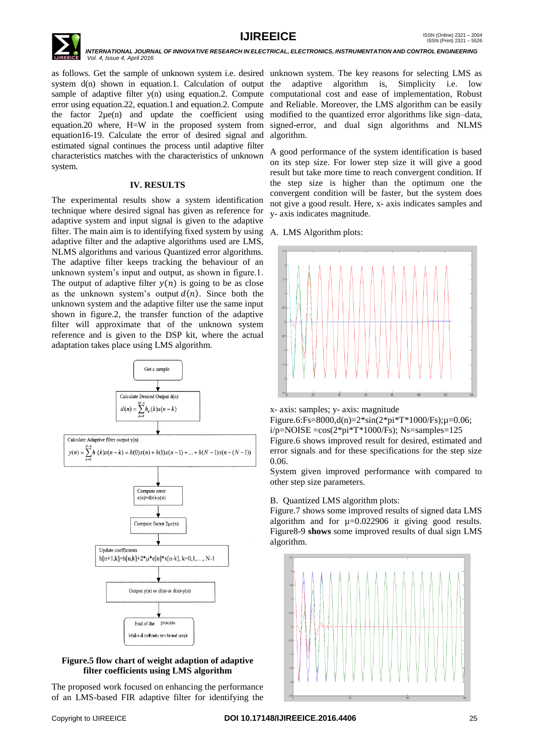

as follows. Get the sample of unknown system i.e. desired unknown system. The key reasons for selecting LMS as system d(n) shown in equation.1. Calculation of output the adaptive algorithm is, Simplicity i.e. low sample of adaptive filter  $y(n)$  using equation. 2. Compute computational cost and ease of implementation, Robust error using equation.22, equation.1 and equation.2. Compute and Reliable. Moreover, the LMS algorithm can be easily the factor 2µe(n) and update the coefficient using equation.20 where, H=W in the proposed system from equation16-19. Calculate the error of desired signal and estimated signal continues the process until adaptive filter characteristics matches with the characteristics of unknown system.

# **IV. RESULTS**

The experimental results show a system identification technique where desired signal has given as reference for adaptive system and input signal is given to the adaptive filter. The main aim is to identifying fixed system by using adaptive filter and the adaptive algorithms used are LMS, NLMS algorithms and various Quantized error algorithms. The adaptive filter keeps tracking the behaviour of an unknown system's input and output, as shown in figure.1. The output of adaptive filter  $y(n)$  is going to be as close as the unknown system's output  $d(n)$ . Since both the unknown system and the adaptive filter use the same input shown in figure.2, the transfer function of the adaptive filter will approximate that of the unknown system reference and is given to the DSP kit, where the actual adaptation takes place using LMS algorithm.



# **Figure.5 flow chart of weight adaption of adaptive filter coefficients using LMS algorithm**

The proposed work focused on enhancing the performance of an LMS-based FIR adaptive filter for identifying the

modified to the quantized error algorithms like sign–data, signed-error, and dual sign algorithms and NLMS algorithm.

A good performance of the system identification is based on its step size. For lower step size it will give a good result but take more time to reach convergent condition. If the step size is higher than the optimum one the convergent condition will be faster, but the system does not give a good result. Here, x- axis indicates samples and y- axis indicates magnitude.

A. LMS Algorithm plots:



x- axis: samples; y- axis: magnitude

Figure.6:Fs=8000,d(n)=2\*sin(2\*pi\*T\*1000/Fs); $\mu$ =0.06; i/p=NOISE =cos(2\*pi\*T\*1000/Fs); Ns=samples=125 Figure.6 shows improved result for desired, estimated and error signals and for these specifications for the step size 0.06.

System given improved performance with compared to other step size parameters.

# B. Quantized LMS algorithm plots:

Figure.7 shows some improved results of signed data LMS algorithm and for  $\mu$ =0.022906 it giving good results. Figure8-9 **shows** some improved results of dual sign LMS algorithm.

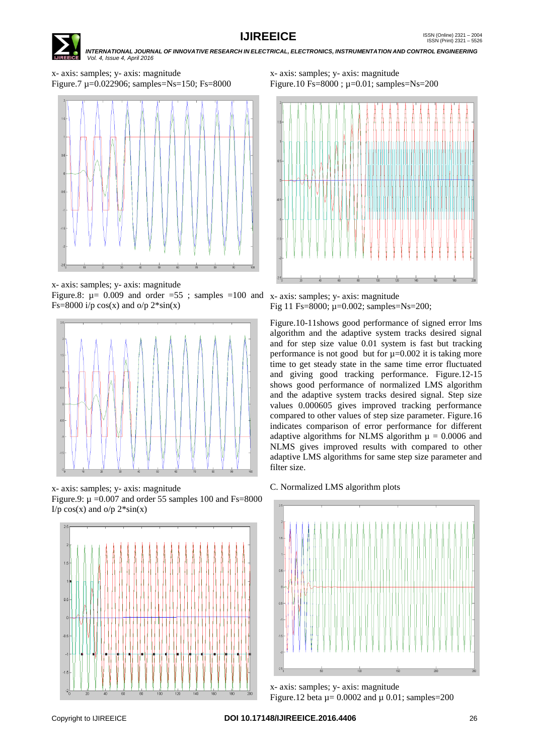

# **IJIREEICE ISSN** (Online)  $2321 - 2004$ <br>ISSN (Print)  $2321 - 5526$

 *INTERNATIONAL JOURNAL OF INNOVATIVE RESEARCH IN ELECTRICAL, ELECTRONICS, INSTRUMENTATION AND CONTROL ENGINEERING Vol. 4, Issue 4, April 2016*

x- axis: samples; y- axis: magnitude Figure.7 µ=0.022906; samples=Ns=150; Fs=8000



x- axis: samples; y- axis: magnitude

Figure.8:  $\mu$  = 0.009 and order =55; samples =100 and x- axis: samples; y- axis: magnitude Fs=8000 i/p  $cos(x)$  and  $o/p$   $2*sin(x)$ 



x- axis: samples; y- axis: magnitude Figure.9:  $\mu = 0.007$  and order 55 samples 100 and Fs=8000 I/p  $cos(x)$  and  $o/p$   $2*sin(x)$ 



x- axis: samples; y- axis: magnitude Figure.10 Fs=8000 ; µ=0.01; samples=Ns=200



Fig 11 Fs=8000; µ=0.002; samples=Ns=200;

Figure.10-11shows good performance of signed error lms algorithm and the adaptive system tracks desired signal and for step size value 0.01 system is fast but tracking performance is not good but for  $\mu$ =0.002 it is taking more time to get steady state in the same time error fluctuated and giving good tracking performance. Figure.12-15 shows good performance of normalized LMS algorithm and the adaptive system tracks desired signal. Step size values 0.000605 gives improved tracking performance compared to other values of step size parameter. Figure.16 indicates comparison of error performance for different adaptive algorithms for NLMS algorithm  $\mu = 0.0006$  and NLMS gives improved results with compared to other adaptive LMS algorithms for same step size parameter and filter size.





x- axis: samples; y- axis: magnitude Figure.12 beta  $\mu$  = 0.0002 and  $\mu$  0.01; samples=200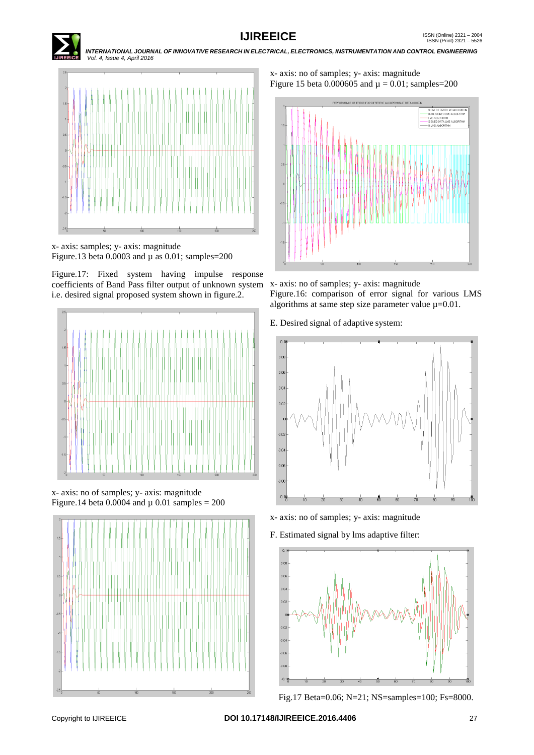



x- axis: samples; y- axis: magnitude Figure.13 beta  $0.0003$  and  $\mu$  as  $0.01$ ; samples=200

Figure.17: Fixed system having impulse response coefficients of Band Pass filter output of unknown system i.e. desired signal proposed system shown in figure.2.



x- axis: no of samples; y- axis: magnitude Figure.14 beta 0.0004 and  $\mu$  0.01 samples = 200



x- axis: no of samples; y- axis: magnitude Figure 15 beta 0.000605 and  $\mu = 0.01$ ; samples=200



x- axis: no of samples; y- axis: magnitude Figure.16: comparison of error signal for various LMS algorithms at same step size parameter value  $\mu$ =0.01.

E. Desired signal of adaptive system:



- x- axis: no of samples; y- axis: magnitude
- F. Estimated signal by lms adaptive filter:



Fig.17 Beta=0.06; N=21; NS=samples=100; Fs=8000.